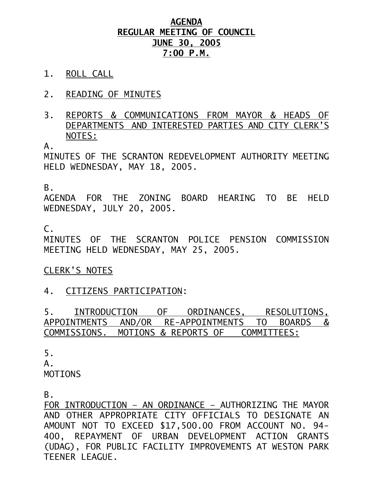## **AGENDA REGULAR MEETING OF COUNCIL JUNE 30, 2005 7:00 P.M.**

- 1. ROLL CALL
- 2. READING OF MINUTES
- 3. REPORTS & COMMUNICATIONS FROM MAYOR & HEADS OF DEPARTMENTS AND INTERESTED PARTIES AND CITY CLERK'S NOTES:

 $A<sub>-</sub>$ 

MINUTES OF THE SCRANTON REDEVELOPMENT AUTHORITY MEETING HELD WEDNESDAY, MAY 18, 2005.

B.

AGENDA FOR THE ZONING BOARD HEARING TO BE HELD WEDNESDAY, JULY 20, 2005.

C.

MINUTES OF THE SCRANTON POLICE PENSION COMMISSION MEETING HELD WEDNESDAY, MAY 25, 2005.

## CLERK'S NOTES

## 4. CITIZENS PARTICIPATION:

5. INTRODUCTION OF ORDINANCES, RESOLUTIONS, APPOINTMENTS AND/OR RE-APPOINTMENTS TO BOARDS & COMMISSIONS. MOTIONS & REPORTS OF COMMITTEES:

5.  $A$ . MOTIONS

B.

FOR INTRODUCTION – AN ORDINANCE – AUTHORIZING THE MAYOR AND OTHER APPROPRIATE CITY OFFICIALS TO DESIGNATE AN AMOUNT NOT TO EXCEED \$17,500.00 FROM ACCOUNT NO. 94- 400, REPAYMENT OF URBAN DEVELOPMENT ACTION GRANTS (UDAG), FOR PUBLIC FACILITY IMPROVEMENTS AT WESTON PARK TEENER LEAGUE.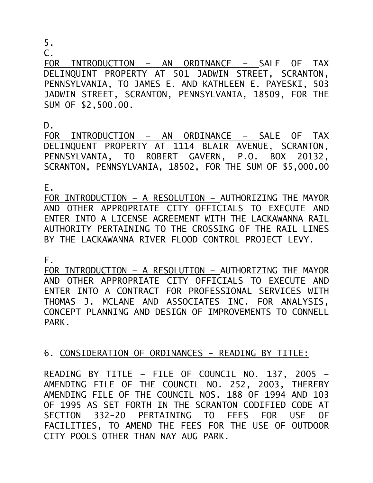5.

 $\mathsf{C}$ .

FOR INTRODUCTION – AN ORDINANCE – SALE OF TAX DELINQUINT PROPERTY AT 501 JADWIN STREET, SCRANTON, PENNSYLVANIA, TO JAMES E. AND KATHLEEN E. PAYESKI, 503 JADWIN STREET, SCRANTON, PENNSYLVANIA, 18509, FOR THE SUM OF \$2,500.00.

D.

FOR INTRODUCTION – AN ORDINANCE – SALE OF TAX DELINQUENT PROPERTY AT 1114 BLAIR AVENUE, SCRANTON, PENNSYLVANIA, TO ROBERT GAVERN, P.O. BOX 20132, SCRANTON, PENNSYLVANIA, 18502, FOR THE SUM OF \$5,000.00

E.

FOR INTRODUCTION – A RESOLUTION – AUTHORIZING THE MAYOR AND OTHER APPROPRIATE CITY OFFICIALS TO EXECUTE AND ENTER INTO A LICENSE AGREEMENT WITH THE LACKAWANNA RAIL AUTHORITY PERTAINING TO THE CROSSING OF THE RAIL LINES BY THE LACKAWANNA RIVER FLOOD CONTROL PROJECT LEVY.

F.

FOR INTRODUCTION – A RESOLUTION – AUTHORIZING THE MAYOR AND OTHER APPROPRIATE CITY OFFICIALS TO EXECUTE AND ENTER INTO A CONTRACT FOR PROFESSIONAL SERVICES WITH THOMAS J. MCLANE AND ASSOCIATES INC. FOR ANALYSIS, CONCEPT PLANNING AND DESIGN OF IMPROVEMENTS TO CONNELL PARK.

6. CONSIDERATION OF ORDINANCES - READING BY TITLE:

READING BY TITLE – FILE OF COUNCIL NO. 137, 2005 – AMENDING FILE OF THE COUNCIL NO. 252, 2003, THEREBY AMENDING FILE OF THE COUNCIL NOS. 188 OF 1994 AND 103 OF 1995 AS SET FORTH IN THE SCRANTON CODIFIED CODE AT SECTION 332-20 PERTAINING TO FEES FOR USE OF FACILITIES, TO AMEND THE FEES FOR THE USE OF OUTDOOR CITY POOLS OTHER THAN NAY AUG PARK.